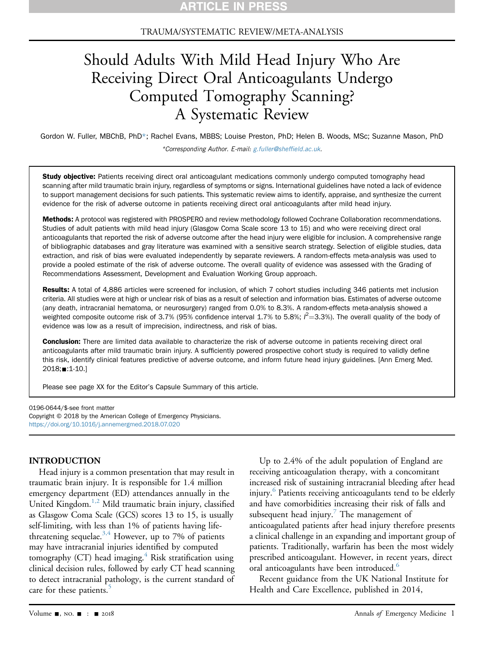#### TRAUMA/SYSTEMATIC REVIEW/META-ANALYSIS

# Should Adults With Mild Head Injury Who Are Receiving Direct Oral Anticoagulants Undergo Computed Tomography Scanning? A Systematic Review

Gordon W. Fuller, MBChB, PhD\*; Rachel Evans, MBBS; Louise Preston, PhD; Helen B. Woods, MSc; Suzanne Mason, PhD \*Corresponding Author. E-mail: [g.fuller@shef](mailto:g.fuller@sheffield.ac.uk)field.ac.uk.

Study objective: Patients receiving direct oral anticoagulant medications commonly undergo computed tomography head scanning after mild traumatic brain injury, regardless of symptoms or signs. International guidelines have noted a lack of evidence to support management decisions for such patients. This systematic review aims to identify, appraise, and synthesize the current evidence for the risk of adverse outcome in patients receiving direct oral anticoagulants after mild head injury.

Methods: A protocol was registered with PROSPERO and review methodology followed Cochrane Collaboration recommendations. Studies of adult patients with mild head injury (Glasgow Coma Scale score 13 to 15) and who were receiving direct oral anticoagulants that reported the risk of adverse outcome after the head injury were eligible for inclusion. A comprehensive range of bibliographic databases and gray literature was examined with a sensitive search strategy. Selection of eligible studies, data extraction, and risk of bias were evaluated independently by separate reviewers. A random-effects meta-analysis was used to provide a pooled estimate of the risk of adverse outcome. The overall quality of evidence was assessed with the Grading of Recommendations Assessment, Development and Evaluation Working Group approach.

Results: A total of 4,886 articles were screened for inclusion, of which 7 cohort studies including 346 patients met inclusion criteria. All studies were at high or unclear risk of bias as a result of selection and information bias. Estimates of adverse outcome (any death, intracranial hematoma, or neurosurgery) ranged from 0.0% to 8.3%. A random-effects meta-analysis showed a weighted composite outcome risk of 3.7% (95% confidence interval 1.7% to 5.8%;  $l^2$ =3.3%). The overall quality of the body of evidence was low as a result of imprecision, indirectness, and risk of bias.

**Conclusion:** There are limited data available to characterize the risk of adverse outcome in patients receiving direct oral anticoagulants after mild traumatic brain injury. A sufficiently powered prospective cohort study is required to validly define this risk, identify clinical features predictive of adverse outcome, and inform future head injury guidelines. [Ann Emerg Med. 2018;**■**:1-10.]

Please see page XX for the Editor's Capsule Summary of this article.

0196-0644/\$-see front matter Copyright © 2018 by the American College of Emergency Physicians. <https://doi.org/10.1016/j.annemergmed.2018.07.020>

#### INTRODUCTION

Head injury is a common presentation that may result in traumatic brain injury. It is responsible for 1.4 million emergency department (ED) attendances annually in the United Kingdom.<sup>1,2</sup> Mild traumatic brain injury, classified as Glasgow Coma Scale (GCS) scores 13 to 15, is usually self-limiting, with less than 1% of patients having life-threatening sequelae.<sup>[3,4](#page-8-1)</sup> However, up to 7% of patients may have intracranial injuries identified by computed tomography (CT) head imaging. $4$  Risk stratification using clinical decision rules, followed by early CT head scanning to detect intracranial pathology, is the current standard of care for these patients.<sup>[5](#page-8-3)</sup>

Up to 2.4% of the adult population of England are receiving anticoagulation therapy, with a concomitant increased risk of sustaining intracranial bleeding after head injury.<sup>6</sup> Patients receiving anticoagulants tend to be elderly and have comorbidities increasing their risk of falls and subsequent head injury.<sup>7</sup> The management of anticoagulated patients after head injury therefore presents a clinical challenge in an expanding and important group of patients. Traditionally, warfarin has been the most widely prescribed anticoagulant. However, in recent years, direct oral anticoagulants have been introduced.<sup>[6](#page-8-4)</sup>

Recent guidance from the UK National Institute for Health and Care Excellence, published in 2014,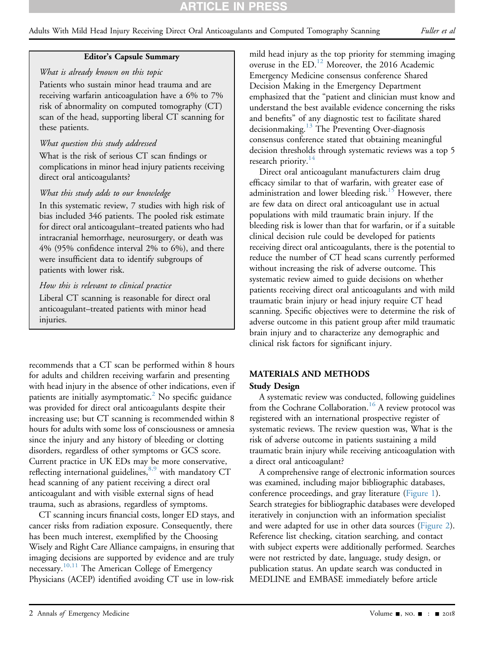# **RTICLE IN PR**

Adults With Mild Head Injury Receiving Direct Oral Anticoagulants and Computed Tomography Scanning Fuller et al

#### Editor's Capsule Summary

#### What is already known on this topic

Patients who sustain minor head trauma and are receiving warfarin anticoagulation have a 6% to 7% risk of abnormality on computed tomography (CT) scan of the head, supporting liberal CT scanning for these patients.

#### What question this study addressed

What is the risk of serious CT scan findings or complications in minor head injury patients receiving direct oral anticoagulants?

#### What this study adds to our knowledge

In this systematic review, 7 studies with high risk of bias included 346 patients. The pooled risk estimate for direct oral anticoagulant–treated patients who had intracranial hemorrhage, neurosurgery, or death was 4% (95% confidence interval 2% to 6%), and there were insufficient data to identify subgroups of patients with lower risk.

#### How this is relevant to clinical practice

Liberal CT scanning is reasonable for direct oral anticoagulant–treated patients with minor head injuries.

recommends that a CT scan be performed within 8 hours for adults and children receiving warfarin and presenting with head injury in the absence of other indications, even if patients are initially asymptomatic.<sup>[2](#page-8-6)</sup> No specific guidance was provided for direct oral anticoagulants despite their increasing use; but CT scanning is recommended within 8 hours for adults with some loss of consciousness or amnesia since the injury and any history of bleeding or clotting disorders, regardless of other symptoms or GCS score. Current practice in UK EDs may be more conservative, reflecting international guidelines,  $8.9$  with mandatory CT head scanning of any patient receiving a direct oral anticoagulant and with visible external signs of head trauma, such as abrasions, regardless of symptoms.

CT scanning incurs financial costs, longer ED stays, and cancer risks from radiation exposure. Consequently, there has been much interest, exemplified by the Choosing Wisely and Right Care Alliance campaigns, in ensuring that imaging decisions are supported by evidence and are truly necessary.<sup>[10,11](#page-8-8)</sup> The American College of Emergency Physicians (ACEP) identified avoiding CT use in low-risk

mild head injury as the top priority for stemming imaging overuse in the ED.[12](#page-8-9) Moreover, the 2016 Academic Emergency Medicine consensus conference Shared Decision Making in the Emergency Department emphasized that the "patient and clinician must know and understand the best available evidence concerning the risks and benefits" of any diagnostic test to facilitate shared decisionmaking.<sup>[13](#page-8-10)</sup> The Preventing Over-diagnosis consensus conference stated that obtaining meaningful decision thresholds through systematic reviews was a top 5 research priority.<sup>[14](#page-8-11)</sup>

Direct oral anticoagulant manufacturers claim drug efficacy similar to that of warfarin, with greater ease of administration and lower bleeding risk.<sup>[15](#page-8-12)</sup> However, there are few data on direct oral anticoagulant use in actual populations with mild traumatic brain injury. If the bleeding risk is lower than that for warfarin, or if a suitable clinical decision rule could be developed for patients receiving direct oral anticoagulants, there is the potential to reduce the number of CT head scans currently performed without increasing the risk of adverse outcome. This systematic review aimed to guide decisions on whether patients receiving direct oral anticoagulants and with mild traumatic brain injury or head injury require CT head scanning. Specific objectives were to determine the risk of adverse outcome in this patient group after mild traumatic brain injury and to characterize any demographic and clinical risk factors for significant injury.

### MATERIALS AND METHODS

#### Study Design

A systematic review was conducted, following guidelines from the Cochrane Collaboration.<sup>[16](#page-8-13)</sup> A review protocol was registered with an international prospective register of systematic reviews. The review question was, What is the risk of adverse outcome in patients sustaining a mild traumatic brain injury while receiving anticoagulation with a direct oral anticoagulant?

A comprehensive range of electronic information sources was examined, including major bibliographic databases, conference proceedings, and gray literature (Figure 1). Search strategies for bibliographic databases were developed iteratively in conjunction with an information specialist and were adapted for use in other data sources (Figure 2). Reference list checking, citation searching, and contact with subject experts were additionally performed. Searches were not restricted by date, language, study design, or publication status. An update search was conducted in MEDLINE and EMBASE immediately before article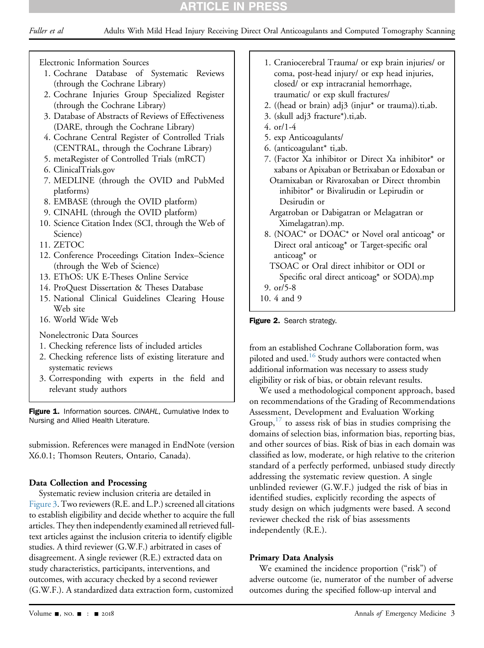## **RTICLE IN PRES**

Electronic Information Sources

- 1. Cochrane Database of Systematic Reviews (through the Cochrane Library)
- 2. Cochrane Injuries Group Specialized Register (through the Cochrane Library)
- 3. Database of Abstracts of Reviews of Effectiveness (DARE, through the Cochrane Library)
- 4. Cochrane Central Register of Controlled Trials (CENTRAL, through the Cochrane Library)
- 5. metaRegister of Controlled Trials (mRCT)
- 6. ClinicalTrials.gov
- 7. MEDLINE (through the OVID and PubMed platforms)
- 8. EMBASE (through the OVID platform)
- 9. CINAHL (through the OVID platform)
- 10. Science Citation Index (SCI, through the Web of Science)
- 11. ZETOC
- 12. Conference Proceedings Citation Index–Science (through the Web of Science)
- 13. EThOS: UK E-Theses Online Service
- 14. ProQuest Dissertation & Theses Database
- 15. National Clinical Guidelines Clearing House Web site
- 16. World Wide Web

Nonelectronic Data Sources

- 1. Checking reference lists of included articles
- 2. Checking reference lists of existing literature and systematic reviews
- 3. Corresponding with experts in the field and relevant study authors

Figure 1. Information sources. CINAHL, Cumulative Index to Nursing and Allied Health Literature.

submission. References were managed in EndNote (version X6.0.1; Thomson Reuters, Ontario, Canada).

### Data Collection and Processing

Systematic review inclusion criteria are detailed in Figure 3. Two reviewers (R.E. and L.P.) screened all citations to establish eligibility and decide whether to acquire the full articles. They then independently examined all retrieved fulltext articles against the inclusion criteria to identify eligible studies. A third reviewer (G.W.F.) arbitrated in cases of disagreement. A single reviewer (R.E.) extracted data on study characteristics, participants, interventions, and outcomes, with accuracy checked by a second reviewer (G.W.F.). A standardized data extraction form, customized

- 1. Craniocerebral Trauma/ or exp brain injuries/ or coma, post-head injury/ or exp head injuries, closed/ or exp intracranial hemorrhage, traumatic/ or exp skull fractures/
- 2. ((head or brain) adj3 (injur\* or trauma)).ti,ab.
- 3. (skull adj3 fracture\*).ti,ab.
- 4. or/1-4
- 5. exp Anticoagulants/
- 6. (anticoagulant\* ti,ab.
- 7. (Factor Xa inhibitor or Direct Xa inhibitor\* or xabans or Apixaban or Betrixaban or Edoxaban or Otamixaban or Rivaroxaban or Direct thrombin inhibitor\* or Bivalirudin or Lepirudin or

Desirudin or Argatroban or Dabigatran or Melagatran or Ximelagatran).mp.

8. (NOAC\* or DOAC\* or Novel oral anticoag\* or Direct oral anticoag\* or Target-specific oral anticoag\* or

TSOAC or Oral direct inhibitor or ODI or Specific oral direct anticoag\* or SODA).mp

9. or/5-8

10. 4 and 9

Figure 2. Search strategy.

from an established Cochrane Collaboration form, was piloted and used.<sup>16</sup> Study authors were contacted when additional information was necessary to assess study eligibility or risk of bias, or obtain relevant results.

We used a methodological component approach, based on recommendations of the Grading of Recommendations Assessment, Development and Evaluation Working Group,  $17$  to assess risk of bias in studies comprising the domains of selection bias, information bias, reporting bias, and other sources of bias. Risk of bias in each domain was classified as low, moderate, or high relative to the criterion standard of a perfectly performed, unbiased study directly addressing the systematic review question. A single unblinded reviewer (G.W.F.) judged the risk of bias in identified studies, explicitly recording the aspects of study design on which judgments were based. A second reviewer checked the risk of bias assessments independently (R.E.).

#### Primary Data Analysis

We examined the incidence proportion ("risk") of adverse outcome (ie, numerator of the number of adverse outcomes during the specified follow-up interval and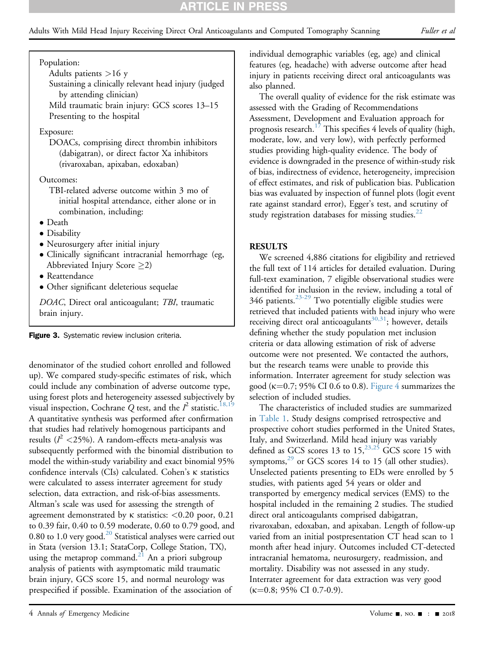## RTICLE IN PRI

Population:

Adults patients >16 y

Sustaining a clinically relevant head injury (judged by attending clinician) Mild traumatic brain injury: GCS scores 13–15

Presenting to the hospital

#### Exposure:

DOACs, comprising direct thrombin inhibitors (dabigatran), or direct factor Xa inhibitors (rivaroxaban, apixaban, edoxaban)

#### Outcomes:

TBI-related adverse outcome within 3 mo of initial hospital attendance, either alone or in combination, including:

- Death
- Disability
- Neurosurgery after initial injury
- Clinically significant intracranial hemorrhage (eg, Abbreviated Injury Score  $\geq$ 2)
- Reattendance
- Other significant deleterious sequelae

DOAC, Direct oral anticoagulant; TBI, traumatic brain injury.

Figure 3. Systematic review inclusion criteria.

denominator of the studied cohort enrolled and followed up). We compared study-specific estimates of risk, which could include any combination of adverse outcome type, using forest plots and heterogeneity assessed subjectively by visual inspection, Cochrane Q test, and the  $I^2$  statistic.<sup>18,19</sup> A quantitative synthesis was performed after confirmation that studies had relatively homogenous participants and results ( $l^2$  <25%). A random-effects meta-analysis was subsequently performed with the binomial distribution to model the within-study variability and exact binomial 95% confidence intervals (CIs) calculated. Cohen's k statistics were calculated to assess interrater agreement for study selection, data extraction, and risk-of-bias assessments. Altman's scale was used for assessing the strength of agreement demonstrated by  $\kappa$  statistics: <0.20 poor, 0.21 to 0.39 fair, 0.40 to 0.59 moderate, 0.60 to 0.79 good, and 0.80 to 1.0 very good. $20$  Statistical analyses were carried out in Stata (version 13.1; StataCorp, College Station, TX), using the metaprop command.<sup>[21](#page-9-1)</sup> An a priori subgroup analysis of patients with asymptomatic mild traumatic brain injury, GCS score 15, and normal neurology was prespecified if possible. Examination of the association of

individual demographic variables (eg, age) and clinical features (eg, headache) with adverse outcome after head injury in patients receiving direct oral anticoagulants was also planned.

The overall quality of evidence for the risk estimate was assessed with the Grading of Recommendations Assessment, Development and Evaluation approach for prognosis research.<sup>[17](#page-8-14)</sup> This specifies 4 levels of quality (high, moderate, low, and very low), with perfectly performed studies providing high-quality evidence. The body of evidence is downgraded in the presence of within-study risk of bias, indirectness of evidence, heterogeneity, imprecision of effect estimates, and risk of publication bias. Publication bias was evaluated by inspection of funnel plots (logit event rate against standard error), Egger's test, and scrutiny of study registration databases for missing studies. $^{22}$  $^{22}$  $^{22}$ 

#### RESULTS

We screened 4,886 citations for eligibility and retrieved the full text of 114 articles for detailed evaluation. During full-text examination, 7 eligible observational studies were identified for inclusion in the review, including a total of 346 patients. $23-29$  Two potentially eligible studies were retrieved that included patients with head injury who were receiving direct oral anticoagulants<sup>[30,31](#page-9-4)</sup>; however, details defining whether the study population met inclusion criteria or data allowing estimation of risk of adverse outcome were not presented. We contacted the authors, but the research teams were unable to provide this information. Interrater agreement for study selection was good ( $\kappa$ =0.7; 95% CI 0.6 to 0.8). [Figure 4](#page-4-0) summarizes the selection of included studies.

The characteristics of included studies are summarized in [Table 1.](#page-5-0) Study designs comprised retrospective and prospective cohort studies performed in the United States, Italy, and Switzerland. Mild head injury was variably defined as GCS scores 13 to  $15,^{23,25}$  $15,^{23,25}$  $15,^{23,25}$  GCS score 15 with symptoms, $^{29}$  or GCS scores 14 to 15 (all other studies). Unselected patients presenting to EDs were enrolled by 5 studies, with patients aged 54 years or older and transported by emergency medical services (EMS) to the hospital included in the remaining 2 studies. The studied direct oral anticoagulants comprised dabigatran, rivaroxaban, edoxaban, and apixaban. Length of follow-up varied from an initial postpresentation CT head scan to 1 month after head injury. Outcomes included CT-detected intracranial hematoma, neurosurgery, readmission, and mortality. Disability was not assessed in any study. Interrater agreement for data extraction was very good  $(\kappa=0.8; 95\% \text{ CI } 0.7-0.9).$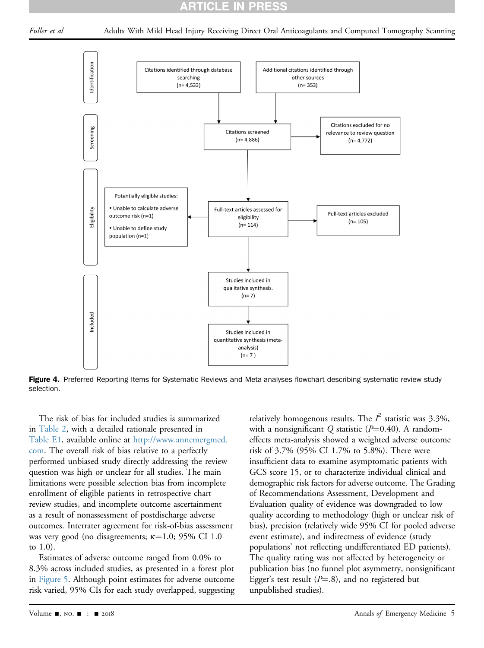### RTICLE IN PRES

<span id="page-4-0"></span>



Figure 4. Preferred Reporting Items for Systematic Reviews and Meta-analyses flowchart describing systematic review study selection.

The risk of bias for included studies is summarized in [Table 2](#page-6-0), with a detailed rationale presented in Table E1, available online at [http://www.annemergmed.](http://www.annemergmed.com) [com](http://www.annemergmed.com). The overall risk of bias relative to a perfectly performed unbiased study directly addressing the review question was high or unclear for all studies. The main limitations were possible selection bias from incomplete enrollment of eligible patients in retrospective chart review studies, and incomplete outcome ascertainment as a result of nonassessment of postdischarge adverse outcomes. Interrater agreement for risk-of-bias assessment was very good (no disagreements;  $\kappa$ =1.0; 95% CI 1.0 to 1.0).

Estimates of adverse outcome ranged from 0.0% to 8.3% across included studies, as presented in a forest plot in [Figure 5](#page-6-1). Although point estimates for adverse outcome risk varied, 95% CIs for each study overlapped, suggesting

relatively homogenous results. The  $I^2$  statistic was 3.3%, with a nonsignificant Q statistic ( $P=0.40$ ). A randomeffects meta-analysis showed a weighted adverse outcome risk of 3.7% (95% CI 1.7% to 5.8%). There were insufficient data to examine asymptomatic patients with GCS score 15, or to characterize individual clinical and demographic risk factors for adverse outcome. The Grading of Recommendations Assessment, Development and Evaluation quality of evidence was downgraded to low quality according to methodology (high or unclear risk of bias), precision (relatively wide 95% CI for pooled adverse event estimate), and indirectness of evidence (study populations' not reflecting undifferentiated ED patients). The quality rating was not affected by heterogeneity or publication bias (no funnel plot asymmetry, nonsignificant Egger's test result ( $P=$ .8), and no registered but unpublished studies).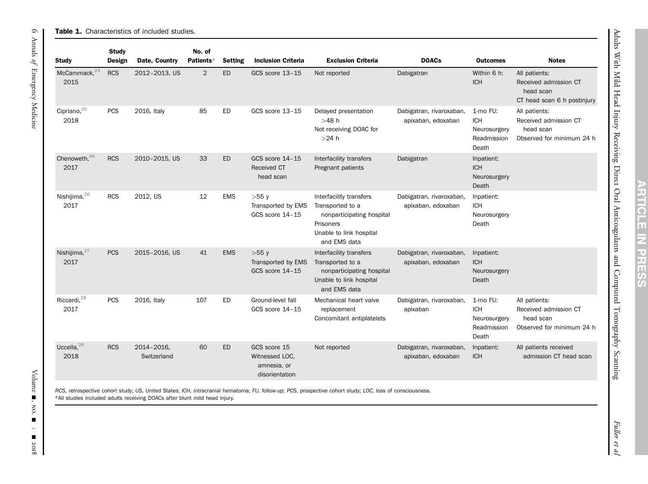| <b>Study</b>                     | Design     | Date, Country                                                              | Patients*      | <b>Setting</b> | <b>Inclusion Criteria</b>                                       | <b>Exclusion Criteria</b>                                                                                                                                 | <b>DOACs</b>                                   | <b>Outcomes</b>                                                | <b>Notes</b>                                                                       |
|----------------------------------|------------|----------------------------------------------------------------------------|----------------|----------------|-----------------------------------------------------------------|-----------------------------------------------------------------------------------------------------------------------------------------------------------|------------------------------------------------|----------------------------------------------------------------|------------------------------------------------------------------------------------|
| McCammack, <sup>23</sup><br>2015 | <b>RCS</b> | 2012-2013, US                                                              | $\overline{2}$ | ED             | GCS score 13-15                                                 | Not reported                                                                                                                                              | Dabigatran                                     | Within 6 h:<br><b>ICH</b>                                      | All patients:<br>Received admission CT<br>head scan<br>CT head scan 6 h postinjury |
| Cipriano, <sup>25</sup><br>2018  | <b>PCS</b> | 2016, Italy                                                                | 85             | ED             | GCS score 13-15                                                 | Delayed presentation<br>$>48$ h<br>Not receiving DOAC for<br>$>24$ h                                                                                      | Dabigatran, rivaroxaban,<br>apixaban, edoxaban | 1-mo FU:<br><b>ICH</b><br>Neurosurgery<br>Readmission<br>Death | All patients:<br>Received admission CT<br>head scan<br>Observed for minimum 24 h   |
| Chenoweth, <sup>24</sup><br>2017 | <b>RCS</b> | 2010-2015, US                                                              | 33             | <b>ED</b>      | GCS score 14-15<br>Received CT<br>head scan                     | Interfacility transfers<br>Pregnant patients                                                                                                              | Dabigatran                                     | Inpatient:<br><b>ICH</b><br>Neurosurgery<br>Death              |                                                                                    |
| Nishijima, 26<br>2017            | <b>RCS</b> | 2012, US                                                                   | 12             | <b>EMS</b>     | $>55$ y<br>Transported by EMS<br>GCS score 14-15                | Interfacility transfers<br>Transported to a<br>nonparticipating hospital<br>Prisoners<br>Unable to link hospital<br>and EMS data                          | Dabigatran, rivaroxaban,<br>apixaban, edoxaban | Inpatient:<br><b>ICH</b><br>Neurosurgery<br>Death              |                                                                                    |
| Nishijima, <sup>27</sup><br>2017 | <b>PCS</b> | 2015-2016, US                                                              | 41             | <b>EMS</b>     | $>55$ y<br>Transported by EMS<br>GCS score 14-15                | Interfacility transfers<br>Transported to a<br>nonparticipating hospital<br>Unable to link hospital<br>and EMS data                                       | Dabigatran, rivaroxaban,<br>apixaban, edoxaban | Inpatient:<br><b>ICH</b><br>Neurosurgery<br>Death              |                                                                                    |
| Riccardi, <sup>28</sup><br>2017  | <b>PCS</b> | 2016, Italy                                                                | 107            | ED             | Ground-level fall<br>GCS score 14-15                            | Mechanical heart valve<br>replacement<br>Concomitant antiplatelets                                                                                        | Dabigatran, rivaroxaban,<br>apixaban           | 1-mo FU:<br><b>ICH</b><br>Neurosurgery<br>Readmission<br>Death | All patients:<br>Received admission CT<br>head scan<br>Observed for minimum 24 h   |
| Uccella, $^{29}$<br>2018         | <b>RCS</b> | 2014-2016,<br>Switzerland                                                  | 60             | ED             | GCS score 15<br>Witnessed LOC.<br>amnesia, or<br>disorientation | Not reported                                                                                                                                              | Dabigatran, rivaroxaban,<br>apixaban, edoxaban | Inpatient:<br><b>ICH</b>                                       | All patients received<br>admission CT head scan                                    |
|                                  |            | *All studies included adults receiving DOACs after blunt mild head injury. |                |                |                                                                 | RCS, retrospective cohort study; US, United States; ICH, intracranial hematoma; FU, follow-up; PCS, prospective cohort study; LOC, loss of consciousness. |                                                |                                                                |                                                                                    |

<span id="page-5-1"></span><span id="page-5-0"></span>**RTICLE IN PRES** 77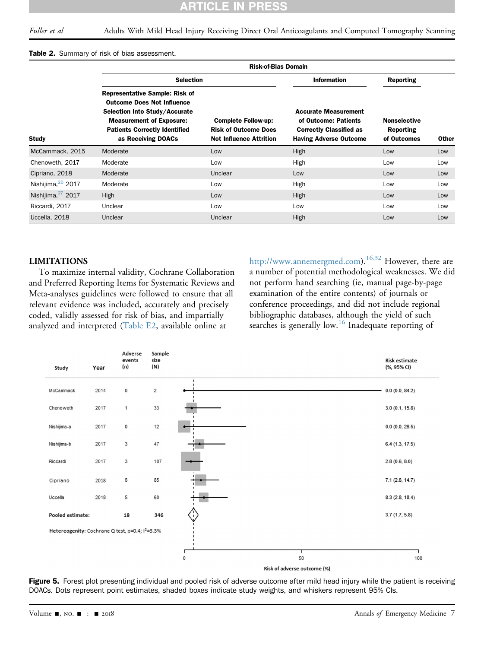ES

PR

#### <span id="page-6-0"></span>Table 2. Summary of risk of bias assessment.

|                               | <b>Risk-of-Bias Domain</b>                                                                                                                                                                                   |                                                                                             |                                                                                                                        |                                                        |              |  |  |  |  |  |
|-------------------------------|--------------------------------------------------------------------------------------------------------------------------------------------------------------------------------------------------------------|---------------------------------------------------------------------------------------------|------------------------------------------------------------------------------------------------------------------------|--------------------------------------------------------|--------------|--|--|--|--|--|
|                               | <b>Selection</b>                                                                                                                                                                                             |                                                                                             | <b>Information</b>                                                                                                     | Reporting                                              |              |  |  |  |  |  |
| <b>Study</b>                  | <b>Representative Sample: Risk of</b><br><b>Outcome Does Not Influence</b><br>Selection Into Study/Accurate<br><b>Measurement of Exposure:</b><br><b>Patients Correctly Identified</b><br>as Receiving DOACs | <b>Complete Follow-up:</b><br><b>Risk of Outcome Does</b><br><b>Not Influence Attrition</b> | <b>Accurate Measurement</b><br>of Outcome: Patients<br><b>Correctly Classified as</b><br><b>Having Adverse Outcome</b> | <b>Nonselective</b><br><b>Reporting</b><br>of Outcomes | <b>Other</b> |  |  |  |  |  |
| McCammack, 2015               | Moderate                                                                                                                                                                                                     | Low                                                                                         | <b>High</b>                                                                                                            | Low                                                    | Low          |  |  |  |  |  |
| Chenoweth, 2017               | Moderate                                                                                                                                                                                                     | Low                                                                                         | High                                                                                                                   | Low                                                    | Low          |  |  |  |  |  |
| Cipriano, 2018                | Moderate                                                                                                                                                                                                     | Unclear                                                                                     | Low                                                                                                                    | Low                                                    | Low          |  |  |  |  |  |
| Nishijima, 26 2017            | Moderate                                                                                                                                                                                                     | Low                                                                                         | High                                                                                                                   | Low                                                    | Low          |  |  |  |  |  |
| Nishijima, <sup>27</sup> 2017 | High                                                                                                                                                                                                         | Low                                                                                         | <b>High</b>                                                                                                            | Low                                                    | Low          |  |  |  |  |  |
| Riccardi, 2017                | Unclear                                                                                                                                                                                                      | Low                                                                                         | Low                                                                                                                    | Low                                                    | Low          |  |  |  |  |  |
| Uccella, 2018                 | Unclear                                                                                                                                                                                                      | Unclear                                                                                     | <b>High</b>                                                                                                            | Low                                                    | Low          |  |  |  |  |  |

CL Ξ

#### LIMITATIONS

To maximize internal validity, Cochrane Collaboration and Preferred Reporting Items for Systematic Reviews and Meta-analyses guidelines were followed to ensure that all relevant evidence was included, accurately and precisely coded, validly assessed for risk of bias, and impartially analyzed and interpreted (Table E2, available online at

<http://www.annemergmed.com>).<sup>[16,32](#page-8-13)</sup> However, there are a number of potential methodological weaknesses. We did not perform hand searching (ie, manual page-by-page examination of the entire contents) of journals or conference proceedings, and did not include regional bibliographic databases, although the yield of such searches is generally low.<sup>[16](#page-8-13)</sup> Inadequate reporting of

<span id="page-6-1"></span>

Figure 5. Forest plot presenting individual and pooled risk of adverse outcome after mild head injury while the patient is receiving DOACs. Dots represent point estimates, shaded boxes indicate study weights, and whiskers represent 95% CIs.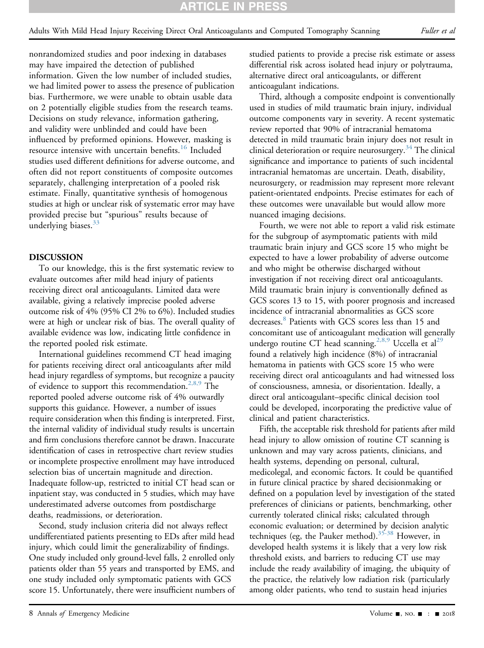nonrandomized studies and poor indexing in databases may have impaired the detection of published information. Given the low number of included studies, we had limited power to assess the presence of publication bias. Furthermore, we were unable to obtain usable data on 2 potentially eligible studies from the research teams. Decisions on study relevance, information gathering, and validity were unblinded and could have been influenced by preformed opinions. However, masking is resource intensive with uncertain benefits.<sup>[16](#page-8-13)</sup> Included studies used different definitions for adverse outcome, and often did not report constituents of composite outcomes separately, challenging interpretation of a pooled risk estimate. Finally, quantitative synthesis of homogenous studies at high or unclear risk of systematic error may have provided precise but "spurious" results because of underlying biases. $33$ 

#### DISCUSSION

To our knowledge, this is the first systematic review to evaluate outcomes after mild head injury of patients receiving direct oral anticoagulants. Limited data were available, giving a relatively imprecise pooled adverse outcome risk of 4% (95% CI 2% to 6%). Included studies were at high or unclear risk of bias. The overall quality of available evidence was low, indicating little confidence in the reported pooled risk estimate.

International guidelines recommend CT head imaging for patients receiving direct oral anticoagulants after mild head injury regardless of symptoms, but recognize a paucity of evidence to support this recommendation[.2,8,9](#page-8-6) The reported pooled adverse outcome risk of 4% outwardly supports this guidance. However, a number of issues require consideration when this finding is interpreted. First, the internal validity of individual study results is uncertain and firm conclusions therefore cannot be drawn. Inaccurate identification of cases in retrospective chart review studies or incomplete prospective enrollment may have introduced selection bias of uncertain magnitude and direction. Inadequate follow-up, restricted to initial CT head scan or inpatient stay, was conducted in 5 studies, which may have underestimated adverse outcomes from postdischarge deaths, readmissions, or deterioration.

Second, study inclusion criteria did not always reflect undifferentiated patients presenting to EDs after mild head injury, which could limit the generalizability of findings. One study included only ground-level falls, 2 enrolled only patients older than 55 years and transported by EMS, and one study included only symptomatic patients with GCS score 15. Unfortunately, there were insufficient numbers of studied patients to provide a precise risk estimate or assess differential risk across isolated head injury or polytrauma, alternative direct oral anticoagulants, or different anticoagulant indications.

Third, although a composite endpoint is conventionally used in studies of mild traumatic brain injury, individual outcome components vary in severity. A recent systematic review reported that 90% of intracranial hematoma detected in mild traumatic brain injury does not result in clinical deterioration or require neurosurgery.<sup>34</sup> The clinical significance and importance to patients of such incidental intracranial hematomas are uncertain. Death, disability, neurosurgery, or readmission may represent more relevant patient-orientated endpoints. Precise estimates for each of these outcomes were unavailable but would allow more nuanced imaging decisions.

Fourth, we were not able to report a valid risk estimate for the subgroup of asymptomatic patients with mild traumatic brain injury and GCS score 15 who might be expected to have a lower probability of adverse outcome and who might be otherwise discharged without investigation if not receiving direct oral anticoagulants. Mild traumatic brain injury is conventionally defined as GCS scores 13 to 15, with poorer prognosis and increased incidence of intracranial abnormalities as GCS score decreases.<sup>[8](#page-8-7)</sup> Patients with GCS scores less than 15 and concomitant use of anticoagulant medication will generally undergo routine CT head scanning.<sup>[2,8,9](#page-8-6)</sup> Uccella et al<sup>[29](#page-9-5)</sup> found a relatively high incidence (8%) of intracranial hematoma in patients with GCS score 15 who were receiving direct oral anticoagulants and had witnessed loss of consciousness, amnesia, or disorientation. Ideally, a direct oral anticoagulant–specific clinical decision tool could be developed, incorporating the predictive value of clinical and patient characteristics.

Fifth, the acceptable risk threshold for patients after mild head injury to allow omission of routine CT scanning is unknown and may vary across patients, clinicians, and health systems, depending on personal, cultural, medicolegal, and economic factors. It could be quantified in future clinical practice by shared decisionmaking or defined on a population level by investigation of the stated preferences of clinicians or patients, benchmarking, other currently tolerated clinical risks; calculated through economic evaluation; or determined by decision analytic techniques (eg, the Pauker method).<sup>[35-38](#page-9-17)</sup> However, in developed health systems it is likely that a very low risk threshold exists, and barriers to reducing CT use may include the ready availability of imaging, the ubiquity of the practice, the relatively low radiation risk (particularly among older patients, who tend to sustain head injuries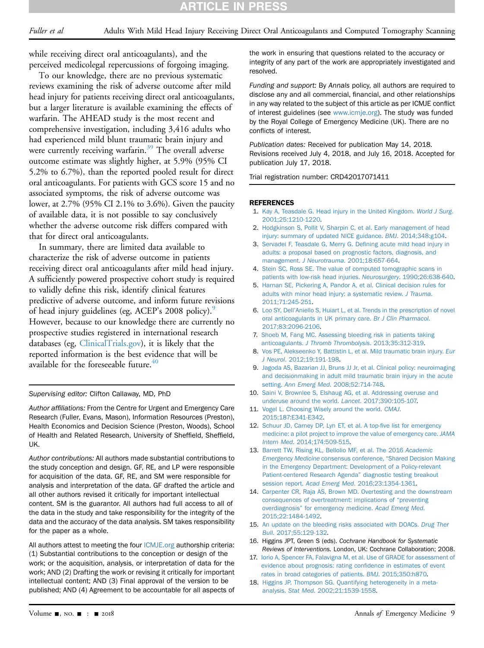while receiving direct oral anticoagulants), and the perceived medicolegal repercussions of forgoing imaging.

To our knowledge, there are no previous systematic reviews examining the risk of adverse outcome after mild head injury for patients receiving direct oral anticoagulants, but a larger literature is available examining the effects of warfarin. The AHEAD study is the most recent and comprehensive investigation, including 3,416 adults who had experienced mild blunt traumatic brain injury and were currently receiving warfarin.<sup>[39](#page-9-18)</sup> The overall adverse outcome estimate was slightly higher, at 5.9% (95% CI 5.2% to 6.7%), than the reported pooled result for direct oral anticoagulants. For patients with GCS score 15 and no associated symptoms, the risk of adverse outcome was lower, at 2.7% (95% CI 2.1% to 3.6%). Given the paucity of available data, it is not possible to say conclusively whether the adverse outcome risk differs compared with that for direct oral anticoagulants.

In summary, there are limited data available to characterize the risk of adverse outcome in patients receiving direct oral anticoagulants after mild head injury. A sufficiently powered prospective cohort study is required to validly define this risk, identify clinical features predictive of adverse outcome, and inform future revisions of head injury guidelines (eg, ACEP's 2008 policy).<sup>9</sup> However, because to our knowledge there are currently no prospective studies registered in international research databases (eg, [ClinicalTrials.gov](http://ClinicalTrials.gov)), it is likely that the reported information is the best evidence that will be available for the foreseeable future. $40$ 

Supervising editor: Clifton Callaway, MD, PhD

Author affiliations: From the Centre for Urgent and Emergency Care Research (Fuller, Evans, Mason), Information Resources (Preston), Health Economics and Decision Science (Preston, Woods), School of Health and Related Research, University of Sheffield, Sheffield, UK.

Author contributions: All authors made substantial contributions to the study conception and design. GF, RE, and LP were responsible for acquisition of the data. GF, RE, and SM were responsible for analysis and interpretation of the data. GF drafted the article and all other authors revised it critically for important intellectual content. SM is the guarantor. All authors had full access to all of the data in the study and take responsibility for the integrity of the data and the accuracy of the data analysis. SM takes responsibility for the paper as a whole.

All authors attest to meeting the four [ICMJE.org](http://ICMJE.org) authorship criteria: (1) Substantial contributions to the conception or design of the work; or the acquisition, analysis, or interpretation of data for the work; AND (2) Drafting the work or revising it critically for important intellectual content; AND (3) Final approval of the version to be published; AND (4) Agreement to be accountable for all aspects of the work in ensuring that questions related to the accuracy or integrity of any part of the work are appropriately investigated and resolved.

Funding and support: By Annals policy, all authors are required to disclose any and all commercial, financial, and other relationships in any way related to the subject of this article as per ICMJE conflict of interest guidelines (see [www.icmje.org\)](http://www.icmje.org). The study was funded by the Royal College of Emergency Medicine (UK). There are no conflicts of interest.

Publication dates: Received for publication May 14, 2018. Revisions received July 4, 2018, and July 16, 2018. Accepted for publication July 17, 2018.

Trial registration number: CRD42017071411

#### <span id="page-8-0"></span>REFERENCES

- 1. [Kay A, Teasdale G. Head injury in the United Kingdom.](http://refhub.elsevier.com/S0196-0644(18)30652-8/sref1) World J Surg. [2001;25:1210-1220](http://refhub.elsevier.com/S0196-0644(18)30652-8/sref1).
- <span id="page-8-6"></span>2. [Hodgkinson S, Pollit V, Sharpin C, et al. Early management of head](http://refhub.elsevier.com/S0196-0644(18)30652-8/sref2) [injury: summary of updated NICE guidance.](http://refhub.elsevier.com/S0196-0644(18)30652-8/sref2) BMJ. 2014;348:g104.
- <span id="page-8-1"></span>3. [Servadei F, Teasdale G, Merry G. De](http://refhub.elsevier.com/S0196-0644(18)30652-8/sref3)fining acute mild head injury in [adults: a proposal based on prognostic factors, diagnosis, and](http://refhub.elsevier.com/S0196-0644(18)30652-8/sref3) management. J Neurotrauma[. 2001;18:657-664](http://refhub.elsevier.com/S0196-0644(18)30652-8/sref3).
- <span id="page-8-2"></span>4. [Stein SC, Ross SE. The value of computed tomographic scans in](http://refhub.elsevier.com/S0196-0644(18)30652-8/sref4) [patients with low-risk head injuries.](http://refhub.elsevier.com/S0196-0644(18)30652-8/sref4) Neurosurgery. 1990;26:638-640.
- <span id="page-8-3"></span>5. [Harnan SE, Pickering A, Pandor A, et al. Clinical decision rules for](http://refhub.elsevier.com/S0196-0644(18)30652-8/sref5) [adults with minor head injury: a systematic review.](http://refhub.elsevier.com/S0196-0644(18)30652-8/sref5) J Trauma. [2011;71:245-251.](http://refhub.elsevier.com/S0196-0644(18)30652-8/sref5)
- <span id="page-8-4"></span>6. Loo SY, Dell'[Aniello S, Huiart L, et al. Trends in the prescription of novel](http://refhub.elsevier.com/S0196-0644(18)30652-8/sref6) [oral anticoagulants in UK primary care.](http://refhub.elsevier.com/S0196-0644(18)30652-8/sref6) Br J Clin Pharmacol. [2017;83:2096-2106.](http://refhub.elsevier.com/S0196-0644(18)30652-8/sref6)
- <span id="page-8-5"></span>7. [Shoeb M, Fang MC. Assessing bleeding risk in patients taking](http://refhub.elsevier.com/S0196-0644(18)30652-8/sref7) anticoagulants. [J Thromb Thrombolysis](http://refhub.elsevier.com/S0196-0644(18)30652-8/sref7). 2013;35:312-319.
- <span id="page-8-7"></span>8. [Vos PE, Alekseenko Y, Battistin L, et al. Mild traumatic brain injury.](http://refhub.elsevier.com/S0196-0644(18)30652-8/sref8) Eur J Neurol[. 2012;19:191-198.](http://refhub.elsevier.com/S0196-0644(18)30652-8/sref8)
- <span id="page-8-16"></span>9. [Jagoda AS, Bazarian JJ, Bruns JJ Jr, et al. Clinical policy: neuroimaging](http://refhub.elsevier.com/S0196-0644(18)30652-8/sref9) [and decisionmaking in adult mild traumatic brain injury in the acute](http://refhub.elsevier.com/S0196-0644(18)30652-8/sref9) setting. Ann Emerg Med[. 2008;52:714-748](http://refhub.elsevier.com/S0196-0644(18)30652-8/sref9).
- <span id="page-8-8"></span>10. [Saini V, Brownlee S, Elshaug AG, et al. Addressing overuse and](http://refhub.elsevier.com/S0196-0644(18)30652-8/sref10) [underuse around the world.](http://refhub.elsevier.com/S0196-0644(18)30652-8/sref10) Lancet. 2017;390:105-107.
- 11. [Vogel L. Choosing Wisely around the world.](http://refhub.elsevier.com/S0196-0644(18)30652-8/sref11) CMAJ. [2015;187:E341-E342](http://refhub.elsevier.com/S0196-0644(18)30652-8/sref11).
- <span id="page-8-9"></span>12. [Schuur JD, Carney DP, Lyn ET, et al. A top-](http://refhub.elsevier.com/S0196-0644(18)30652-8/sref12)five list for emergency [medicine: a pilot project to improve the value of emergency care.](http://refhub.elsevier.com/S0196-0644(18)30652-8/sref12) JAMA Intern Med[. 2014;174:509-515.](http://refhub.elsevier.com/S0196-0644(18)30652-8/sref12)
- <span id="page-8-10"></span>13. [Barrett TW, Rising KL, Bellolio MF, et al. The 2016](http://refhub.elsevier.com/S0196-0644(18)30652-8/sref13) Academic Emergency Medicine consensus conference, "[Shared Decision Making](http://refhub.elsevier.com/S0196-0644(18)30652-8/sref13) [in the Emergency Department: Development of a Policy-relevant](http://refhub.elsevier.com/S0196-0644(18)30652-8/sref13) [Patient-centered Research Agenda](http://refhub.elsevier.com/S0196-0644(18)30652-8/sref13)" diagnostic testing breakout session report. Acad Emerg Med[. 2016;23:1354-1361.](http://refhub.elsevier.com/S0196-0644(18)30652-8/sref13)
- <span id="page-8-11"></span>14. [Carpenter CR, Raja AS, Brown MD. Overtesting and the downstream](http://refhub.elsevier.com/S0196-0644(18)30652-8/sref14) [consequences of overtreatment: implications of](http://refhub.elsevier.com/S0196-0644(18)30652-8/sref14) "preventing overdiagnosis" [for emergency medicine.](http://refhub.elsevier.com/S0196-0644(18)30652-8/sref14) Acad Emerg Med. [2015;22:1484-1492.](http://refhub.elsevier.com/S0196-0644(18)30652-8/sref14)
- <span id="page-8-12"></span>15. [An update on the bleeding risks associated with DOACs.](http://refhub.elsevier.com/S0196-0644(18)30652-8/sref15) Drug Ther Bull[. 2017;55:129-132](http://refhub.elsevier.com/S0196-0644(18)30652-8/sref15).
- <span id="page-8-13"></span>16. Higgins JPT, Green S (eds). Cochrane Handbook for Systematic Reviews of Interventions. London, UK: Cochrane Collaboration; 2008.
- <span id="page-8-14"></span>17. [Iorio A, Spencer FA, Falavigna M, et al. Use of GRADE for assessment of](http://refhub.elsevier.com/S0196-0644(18)30652-8/sref17) [evidence about prognosis: rating con](http://refhub.elsevier.com/S0196-0644(18)30652-8/sref17)fidence in estimates of event [rates in broad categories of patients.](http://refhub.elsevier.com/S0196-0644(18)30652-8/sref17) BMJ. 2015;350:h870.
- <span id="page-8-15"></span>18. [Higgins JP, Thompson SG. Quantifying heterogeneity in a meta](http://refhub.elsevier.com/S0196-0644(18)30652-8/sref18)analysis. Stat Med[. 2002;21:1539-1558.](http://refhub.elsevier.com/S0196-0644(18)30652-8/sref18)